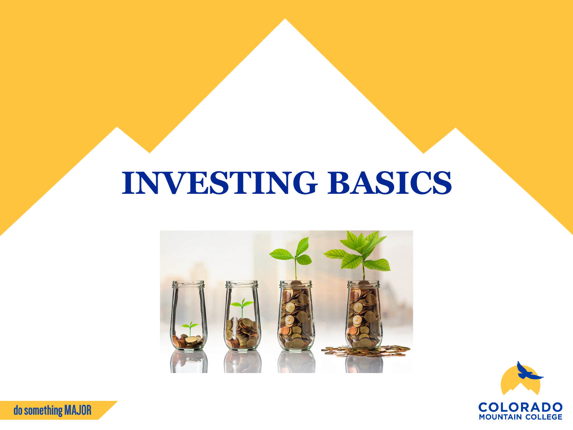# **INVESTING BASICS**





do something MAJOR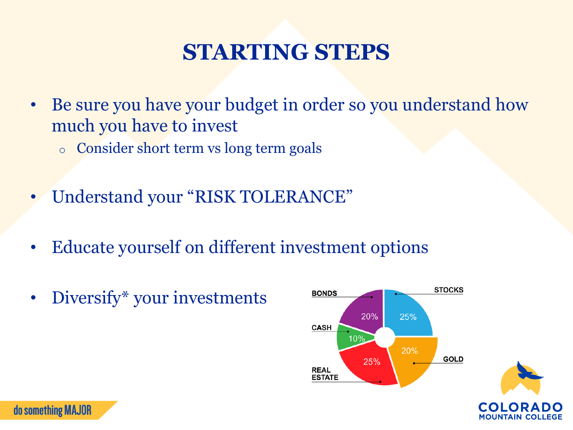### **STARTING STEPS**

- Be sure you have your budget in order so you understand how much you have to invest
	- o Consider short term vs long term goals
- Understand your "RISK TOLERANCE"
- Educate yourself on different investment options
- Diversify\* your investments

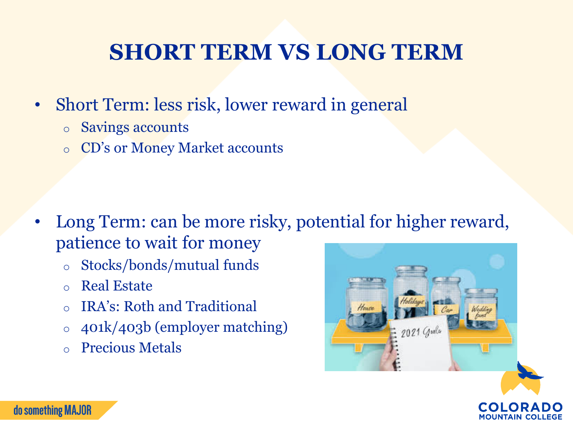#### **SHORT TERM VS LONG TERM**

- Short Term: less risk, lower reward in general
	- o Savings accounts
	- o CD's or Money Market accounts

- Long Term: can be more risky, potential for higher reward, patience to wait for money
	- o Stocks/bonds/mutual funds
	- o Real Estate
	- o IRA's: Roth and Traditional
	- o 401k/403b (employer matching)
	- o Precious Metals



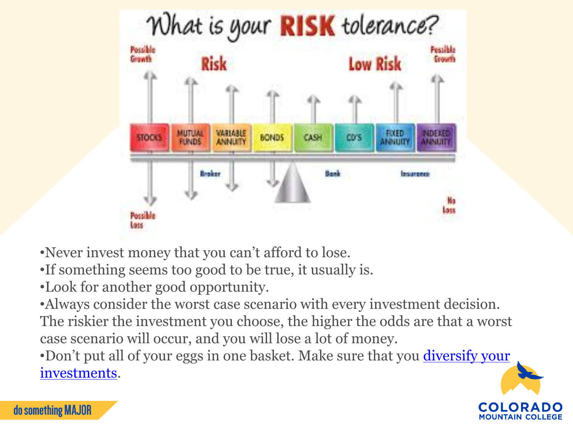

•Never invest money that you can't afford to lose.

•If something seems too good to be true, it usually is.

•Look for another good opportunity.

•Always consider the worst case scenario with every investment decision. The riskier the investment you choose, the higher the odds are that a worst case scenario will occur, and you will lose a lot of money.

•[Don't put all of your eggs in one basket. Make sure that you](https://www.mymoneycoach.ca/investments/diversifying-investments) *diversify your* investments.



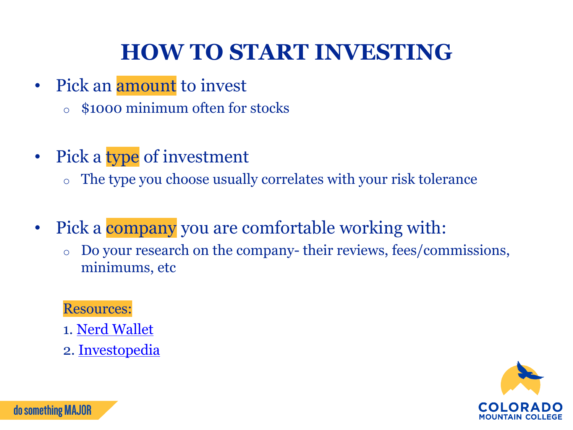## **HOW TO START INVESTING**

- Pick an amount to invest
	- o \$1000 minimum often for stocks
- Pick a type of investment
	- o The type you choose usually correlates with your risk tolerance
- Pick a **company** you are comfortable working with:
	- o Do your research on the company- their reviews, fees/commissions, minimums, etc

Resources:

- 1. [Nerd Wallet](https://www.nerdwallet.com/article/investing/investments-for-beginners)
- 2. [Investopedia](https://www.investopedia.com/)



do something MAJOR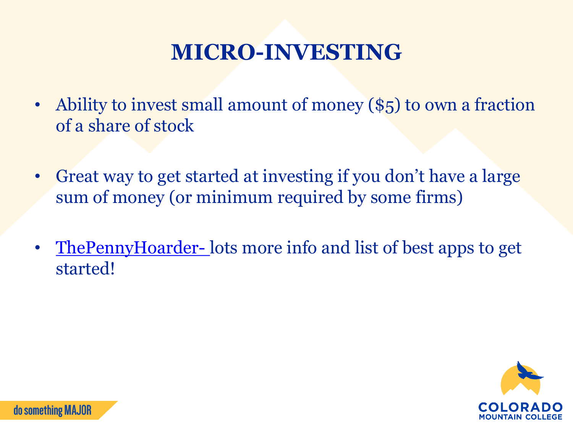### **MICRO-INVESTING**

- Ability to invest small amount of money (\$5) to own a fraction of a share of stock
- Great way to get started at investing if you don't have a large sum of money (or minimum required by some firms)
- [ThePennyHoarder-](https://www.thepennyhoarder.com/investing/how-to-start-micro-investing/) lots more info and list of best apps to get started!

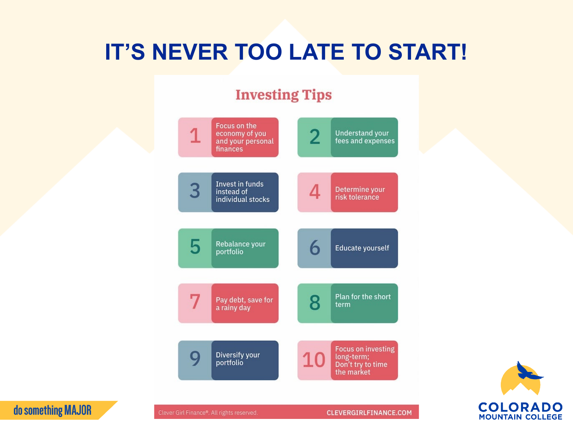### **IT'S NEVER TOO LATE TO START!**

#### **Investing Tips**





Clever Girl Finance®. All rights reserved.

do something MAJOR

#### **CLEVERGIRLFINANCE.COM**